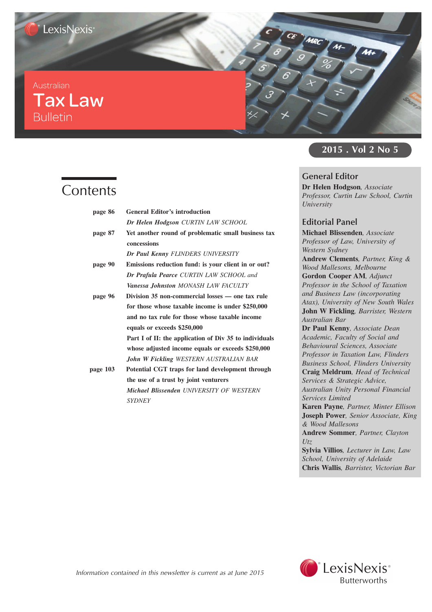## Australian **Tax Law Bulletin**

# **Contents**

| page 86  | <b>General Editor's introduction</b>                   |
|----------|--------------------------------------------------------|
|          | Dr Helen Hodgson CURTIN LAW SCHOOL                     |
| page 87  | Yet another round of problematic small business tax    |
|          | concessions                                            |
|          | Dr Paul Kenny FLINDERS UNIVERSITY                      |
| page 90  | Emissions reduction fund: is your client in or out?    |
|          | <b>Dr Prafula Pearce CURTIN LAW SCHOOL and</b>         |
|          | <b>Vanessa Johnston MONASH LAW FACULTY</b>             |
| page 96  | Division 35 non-commercial losses - one tax rule       |
|          | for those whose taxable income is under \$250,000      |
|          | and no tax rule for those whose taxable income         |
|          | equals or exceeds \$250,000                            |
|          | Part I of II: the application of Div 35 to individuals |
|          | whose adjusted income equals or exceeds \$250,000      |
|          | <b>John W Fickling WESTERN AUSTRALIAN BAR</b>          |
| page 103 | Potential CGT traps for land development through       |
|          | the use of a trust by joint venturers                  |
|          | <b>Michael Blissenden UNIVERSITY OF WESTERN</b>        |
|          | <b>SYDNEY</b>                                          |

### **2015 . Vol 2 No 5**

### **General Editor**

CE ANRC AN-

**Dr Helen Hodgson***, Associate Professor, Curtin Law School, Curtin University*

### **Editorial Panel**

**Michael Blissenden***, Associate Professor of Law, University of Western Sydney* **Andrew Clements***, Partner, King & Wood Mallesons, Melbourne* **Gordon Cooper AM***, Adjunct Professor in the School of Taxation and Business Law (incorporating Atax), University of New South Wales* **John W Fickling***, Barrister, Western Australian Bar*

**Dr Paul Kenny***, Associate Dean Academic, Faculty of Social and Behavioural Sciences, Associate Professor in Taxation Law, Flinders Business School, Flinders University* **Craig Meldrum***, Head of Technical Services & Strategic Advice,*

*Australian Unity Personal Financial Services Limited*

**Karen Payne***, Partner, Minter Ellison* **Joseph Power***, Senior Associate, King & Wood Mallesons*

**Andrew Sommer***, Partner, Clayton Utz*

**Sylvia Villios***, Lecturer in Law, Law School, University of Adelaide* **Chris Wallis***, Barrister, Victorian Bar*



Information contained in this newsletter is current as at June 2015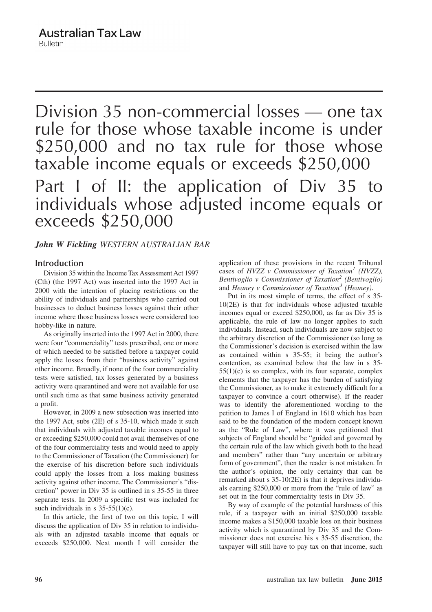Division 35 non-commercial losses — one tax rule for those whose taxable income is under \$250,000 and no tax rule for those whose taxable income equals or exceeds \$250,000 Part I of II: the application of Div 35 to individuals whose adjusted income equals or exceeds \$250,000

### *John W Fickling WESTERN AUSTRALIAN BAR*

### **Introduction**

Division 35 within the Income Tax Assessment Act 1997 (Cth) (the 1997 Act) was inserted into the 1997 Act in 2000 with the intention of placing restrictions on the ability of individuals and partnerships who carried out businesses to deduct business losses against their other income where those business losses were considered too hobby-like in nature.

As originally inserted into the 1997 Act in 2000, there were four "commerciality" tests prescribed, one or more of which needed to be satisfied before a taxpayer could apply the losses from their "business activity" against other income. Broadly, if none of the four commerciality tests were satisfied, tax losses generated by a business activity were quarantined and were not available for use until such time as that same business activity generated a profit.

However, in 2009 a new subsection was inserted into the 1997 Act, subs (2E) of s 35-10, which made it such that individuals with adjusted taxable incomes equal to or exceeding \$250,000 could not avail themselves of one of the four commerciality tests and would need to apply to the Commissioner of Taxation (the Commissioner) for the exercise of his discretion before such individuals could apply the losses from a loss making business activity against other income. The Commissioner's "discretion" power in Div 35 is outlined in s 35-55 in three separate tests. In 2009 a specific test was included for such individuals in s  $35-55(1)(c)$ .

In this article, the first of two on this topic, I will discuss the application of Div 35 in relation to individuals with an adjusted taxable income that equals or exceeds \$250,000. Next month I will consider the application of these provisions in the recent Tribunal cases of *HVZZ v Commissioner of Taxation<sup>1</sup> (HVZZ), Bentivoglio v Commissioner of Taxation<sup>2</sup> (Bentivoglio)* and *Heaney v Commissioner of Taxation<sup>3</sup> (Heaney)*.

Put in its most simple of terms, the effect of s 35- 10(2E) is that for individuals whose adjusted taxable incomes equal or exceed \$250,000, as far as Div 35 is applicable, the rule of law no longer applies to such individuals. Instead, such individuals are now subject to the arbitrary discretion of the Commissioner (so long as the Commissioner's decision is exercised within the law as contained within s 35-55; it being the author's contention, as examined below that the law in s 35-  $55(1)(c)$  is so complex, with its four separate, complex elements that the taxpayer has the burden of satisfying the Commissioner, as to make it extremely difficult for a taxpayer to convince a court otherwise). If the reader was to identify the aforementioned wording to the petition to James I of England in 1610 which has been said to be the foundation of the modern concept known as the "Rule of Law", where it was petitioned that subjects of England should be "guided and governed by the certain rule of the law which giveth both to the head and members" rather than "any uncertain or arbitrary form of government", then the reader is not mistaken. In the author's opinion, the only certainty that can be remarked about s 35-10(2E) is that it deprives individuals earning \$250,000 or more from the "rule of law" as set out in the four commerciality tests in Div 35.

By way of example of the potential harshness of this rule, if a taxpayer with an initial \$250,000 taxable income makes a \$150,000 taxable loss on their business activity which is quarantined by Div 35 and the Commissioner does not exercise his s 35-55 discretion, the taxpayer will still have to pay tax on that income, such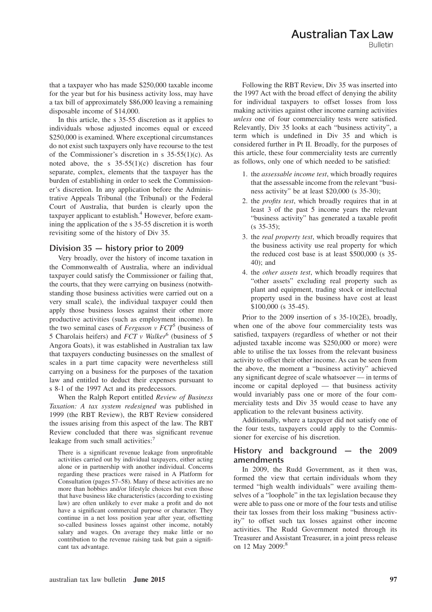that a taxpayer who has made \$250,000 taxable income for the year but for his business activity loss, may have a tax bill of approximately \$86,000 leaving a remaining disposable income of \$14,000.

In this article, the s 35-55 discretion as it applies to individuals whose adjusted incomes equal or exceed \$250,000 is examined. Where exceptional circumstances do not exist such taxpayers only have recourse to the test of the Commissioner's discretion in s  $35-55(1)(c)$ . As noted above, the s  $35-55(1)(c)$  discretion has four separate, complex, elements that the taxpayer has the burden of establishing in order to seek the Commissioner's discretion. In any application before the Administrative Appeals Tribunal (the Tribunal) or the Federal Court of Australia, that burden is clearly upon the taxpayer applicant to establish.<sup>4</sup> However, before examining the application of the s 35-55 discretion it is worth revisiting some of the history of Div 35.

#### **Division 35 — history prior to 2009**

Very broadly, over the history of income taxation in the Commonwealth of Australia, where an individual taxpayer could satisfy the Commissioner or failing that, the courts, that they were carrying on business (notwithstanding those business activities were carried out on a very small scale), the individual taxpayer could then apply those business losses against their other more productive activities (such as employment income). In the two seminal cases of  $Feyuson \, v \, FCT^5$  (business of 5 Charolais heifers) and *FCT v Walker*<sup>6</sup> (business of 5 Angora Goats), it was established in Australian tax law that taxpayers conducting businesses on the smallest of scales in a part time capacity were nevertheless still carrying on a business for the purposes of the taxation law and entitled to deduct their expenses pursuant to s 8-1 of the 1997 Act and its predecessors.

When the Ralph Report entitled *Review of Business Taxation: A tax system redesigned* was published in 1999 (the RBT Review), the RBT Review considered the issues arising from this aspect of the law. The RBT Review concluded that there was significant revenue leakage from such small activities:<sup>7</sup>

There is a significant revenue leakage from unprofitable activities carried out by individual taxpayers, either acting alone or in partnership with another individual. Concerns regarding these practices were raised in A Platform for Consultation (pages 57–58). Many of these activities are no more than hobbies and/or lifestyle choices but even those that have business like characteristics (according to existing law) are often unlikely to ever make a profit and do not have a significant commercial purpose or character. They continue in a net loss position year after year, offsetting so-called business losses against other income, notably salary and wages. On average they make little or no contribution to the revenue raising task but gain a significant tax advantage.

Following the RBT Review, Div 35 was inserted into the 1997 Act with the broad effect of denying the ability for individual taxpayers to offset losses from loss making activities against other income earning activities *unless* one of four commerciality tests were satisfied. Relevantly, Div 35 looks at each "business activity", a term which is undefined in Div 35 and which is considered further in Pt II. Broadly, for the purposes of this article, these four commerciality tests are currently as follows, only one of which needed to be satisfied:

- 1. the *assessable income test*, which broadly requires that the assessable income from the relevant "business activity" be at least \$20,000 (s 35-30);
- 2. the *profits test*, which broadly requires that in at least 3 of the past 5 income years the relevant "business activity" has generated a taxable profit (s 35-35);
- 3. the *real property test*, which broadly requires that the business activity use real property for which the reduced cost base is at least \$500,000 (s 35- 40); and
- 4. the *other assets test*, which broadly requires that "other assets" excluding real property such as plant and equipment, trading stock or intellectual property used in the business have cost at least \$100,000 (s 35-45).

Prior to the 2009 insertion of s 35-10(2E), broadly, when one of the above four commerciality tests was satisfied, taxpayers (regardless of whether or not their adjusted taxable income was \$250,000 or more) were able to utilise the tax losses from the relevant business activity to offset their other income. As can be seen from the above, the moment a "business activity" achieved any significant degree of scale whatsoever — in terms of income or capital deployed — that business activity would invariably pass one or more of the four commerciality tests and Div 35 would cease to have any application to the relevant business activity.

Additionally, where a taxpayer did not satisfy one of the four tests, taxpayers could apply to the Commissioner for exercise of his discretion.

### **History and background — the 2009 amendments**

In 2009, the Rudd Government, as it then was, formed the view that certain individuals whom they termed "high wealth individuals" were availing themselves of a "loophole" in the tax legislation because they were able to pass one or more of the four tests and utilise their tax losses from their loss making "business activity" to offset such tax losses against other income activities. The Rudd Government noted through its Treasurer and Assistant Treasurer, in a joint press release on 12 May 2009:<sup>8</sup>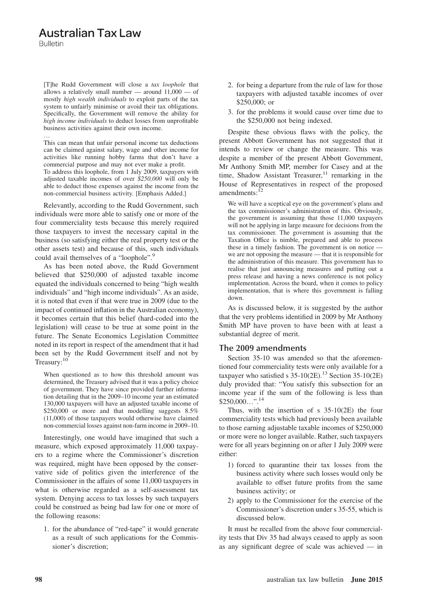### **Australian Tax Law**

**Bulletin** 

[T]he Rudd Government will close a *tax loophole* that allows a relatively small number — around  $11,000$  — of mostly *high wealth individuals* to exploit parts of the tax system to unfairly minimise or avoid their tax obligations. Specifically, the Government will remove the ability for *high income individuals* to deduct losses from unprofitable business activities against their own income.

… This can mean that unfair personal income tax deductions can be claimed against salary, wage and other income for activities like running hobby farms that don't have a commercial purpose and may not ever make a profit. To address this loophole, from 1 July 2009, taxpayers with adjusted taxable incomes of over *\$250,000* will only be able to deduct those expenses against the income from the non-commercial business activity. [Emphasis Added.]

Relevantly, according to the Rudd Government, such individuals were more able to satisfy one or more of the four commerciality tests because this merely required those taxpayers to invest the necessary capital in the business (so satisfying either the real property test or the other assets test) and because of this, such individuals could avail themselves of a "loophole".<sup>9</sup>

As has been noted above, the Rudd Government believed that \$250,000 of adjusted taxable income equated the individuals concerned to being "high wealth individuals" and "high income individuals". As an aside, it is noted that even if that were true in 2009 (due to the impact of continued inflation in the Australian economy), it becomes certain that this belief (hard-coded into the legislation) will cease to be true at some point in the future. The Senate Economics Legislation Committee noted in its report in respect of the amendment that it had been set by the Rudd Government itself and not by Treasury:<sup>10</sup>

When questioned as to how this threshold amount was determined, the Treasury advised that it was a policy choice of government. They have since provided further information detailing that in the 2009–10 income year an estimated 130,000 taxpayers will have an adjusted taxable income of \$250,000 or more and that modelling suggests  $8.5\%$ (11,000) of those taxpayers would otherwise have claimed non-commercial losses against non-farm income in 2009–10.

Interestingly, one would have imagined that such a measure, which exposed approximately 11,000 taxpayers to a regime where the Commissioner's discretion was required, might have been opposed by the conservative side of politics given the interference of the Commissioner in the affairs of some 11,000 taxpayers in what is otherwise regarded as a self-assessment tax system. Denying access to tax losses by such taxpayers could be construed as being bad law for one or more of the following reasons:

1. for the abundance of "red-tape" it would generate as a result of such applications for the Commissioner's discretion;

- 2. for being a departure from the rule of law for those taxpayers with adjusted taxable incomes of over \$250,000; or
- 3. for the problems it would cause over time due to the \$250,000 not being indexed.

Despite these obvious flaws with the policy, the present Abbott Government has not suggested that it intends to review or change the measure. This was despite a member of the present Abbott Government, Mr Anthony Smith MP, member for Casey and at the time, Shadow Assistant Treasurer, $11$  remarking in the House of Representatives in respect of the proposed amendments:<sup>12</sup>

We will have a sceptical eye on the government's plans and the tax commissioner's administration of this. Obviously, the government is assuming that those 11,000 taxpayers will not be applying in large measure for decisions from the tax commissioner. The government is assuming that the Taxation Office is nimble, prepared and able to process these in a timely fashion. The government is on notice we are not opposing the measure — that it is responsible for the administration of this measure. This government has to realise that just announcing measures and putting out a press release and having a news conference is not policy implementation. Across the board, when it comes to policy implementation, that is where this government is falling down.

As is discussed below, it is suggested by the author that the very problems identified in 2009 by Mr Anthony Smith MP have proven to have been with at least a substantial degree of merit.

### **The 2009 amendments**

Section 35-10 was amended so that the aforementioned four commerciality tests were only available for a taxpayer who satisfied s  $35-10(2E)$ .<sup>13</sup> Section 35-10(2E) duly provided that: "You satisfy this subsection for an income year if the sum of the following is less than  $$250,000...$ ".<sup>14</sup>

Thus, with the insertion of s  $35-10(2E)$  the four commerciality tests which had previously been available to those earning adjustable taxable incomes of \$250,000 or more were no longer available. Rather, such taxpayers were for all years beginning on or after 1 July 2009 were either:

- 1) forced to quarantine their tax losses from the business activity where such losses would only be available to offset future profits from the same business activity; or
- 2) apply to the Commissioner for the exercise of the Commissioner's discretion under s 35-55, which is discussed below.

It must be recalled from the above four commerciality tests that Div 35 had always ceased to apply as soon as any significant degree of scale was achieved — in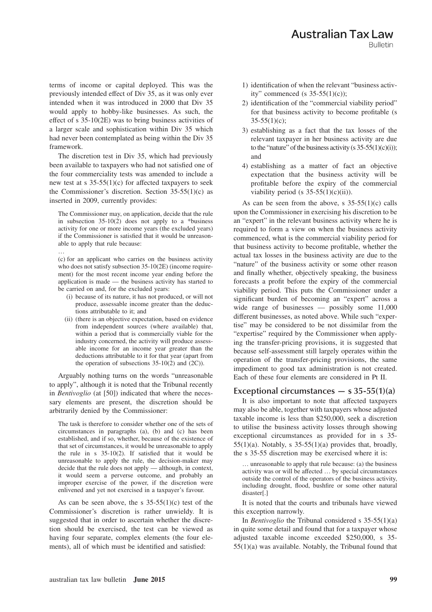terms of income or capital deployed. This was the previously intended effect of Div 35, as it was only ever intended when it was introduced in 2000 that Div 35 would apply to hobby-like businesses. As such, the effect of s 35-10(2E) was to bring business activities of a larger scale and sophistication within Div 35 which had never been contemplated as being within the Div 35 framework.

The discretion test in Div 35, which had previously been available to taxpayers who had not satisfied one of the four commerciality tests was amended to include a new test at s 35-55(1)(c) for affected taxpayers to seek the Commissioner's discretion. Section  $35-55(1)(c)$  as inserted in 2009, currently provides:

The Commissioner may, on application, decide that the rule in subsection  $35-10(2)$  does not apply to a \*business activity for one or more income years (the excluded years) if the Commissioner is satisfied that it would be unreasonable to apply that rule because:

(c) for an applicant who carries on the business activity who does not satisfy subsection 35-10(2E) (income requirement) for the most recent income year ending before the application is made — the business activity has started to be carried on and, for the excluded years:

…

- (i) because of its nature, it has not produced, or will not produce, assessable income greater than the deductions attributable to it; and
- (ii) (there is an objective expectation, based on evidence from independent sources (where available) that, within a period that is commercially viable for the industry concerned, the activity will produce assessable income for an income year greater than the deductions attributable to it for that year (apart from the operation of subsections  $35-10(2)$  and  $(2C)$ ).

Arguably nothing turns on the words "unreasonable to apply", although it is noted that the Tribunal recently in *Bentivoglio* (at [50]) indicated that where the necessary elements are present, the discretion should be arbitrarily denied by the Commissioner:

The task is therefore to consider whether one of the sets of circumstances in paragraphs (a), (b) and (c) has been established, and if so, whether, because of the existence of that set of circumstances, it would be unreasonable to apply the rule in s 35-10(2). If satisfied that it would be unreasonable to apply the rule, the decision-maker may decide that the rule does not apply — although, in context, it would seem a perverse outcome, and probably an improper exercise of the power, if the discretion were enlivened and yet not exercised in a taxpayer's favour.

As can be seen above, the s  $35-55(1)(c)$  test of the Commissioner's discretion is rather unwieldy. It is suggested that in order to ascertain whether the discretion should be exercised, the test can be viewed as having four separate, complex elements (the four elements), all of which must be identified and satisfied:

- 1) identification of when the relevant "business activity" commenced (s  $35-55(1)(c)$ );
- 2) identification of the "commercial viability period" for that business activity to become profitable (s  $35-55(1)(c)$ ;
- 3) establishing as a fact that the tax losses of the relevant taxpayer in her business activity are due to the "nature" of the business activity (s  $35-55(1)(c)(i)$ ); and
- 4) establishing as a matter of fact an objective expectation that the business activity will be profitable before the expiry of the commercial viability period (s  $35-55(1)(c)(ii)$ ).

As can be seen from the above, s  $35-55(1)(c)$  calls upon the Commissioner in exercising his discretion to be an "expert" in the relevant business activity where he is required to form a view on when the business activity commenced, what is the commercial viability period for that business activity to become profitable, whether the actual tax losses in the business activity are due to the "nature" of the business activity or some other reason and finally whether, objectively speaking, the business forecasts a profit before the expiry of the commercial viability period. This puts the Commissioner under a significant burden of becoming an "expert" across a wide range of businesses — possibly some 11,000 different businesses, as noted above. While such "expertise" may be considered to be not dissimilar from the "expertise" required by the Commissioner when applying the transfer-pricing provisions, it is suggested that because self-assessment still largely operates within the operation of the transfer-pricing provisions, the same impediment to good tax administration is not created. Each of these four elements are considered in Pt II.

### **Exceptional circumstances — s 35-55(1)(a)**

It is also important to note that affected taxpayers may also be able, together with taxpayers whose adjusted taxable income is less than \$250,000, seek a discretion to utilise the business activity losses through showing exceptional circumstances as provided for in s 35-  $55(1)(a)$ . Notably, s  $35-55(1)(a)$  provides that, broadly, the s 35-55 discretion may be exercised where it is:

… unreasonable to apply that rule because: (a) the business activity was or will be affected … by special circumstances outside the control of the operators of the business activity, including drought, flood, bushfire or some other natural disaster[.]

It is noted that the courts and tribunals have viewed this exception narrowly.

In *Bentivoglio* the Tribunal considered s 35-55(1)(a) in quite some detail and found that for a taxpayer whose adjusted taxable income exceeded \$250,000, s 35- 55(1)(a) was available. Notably, the Tribunal found that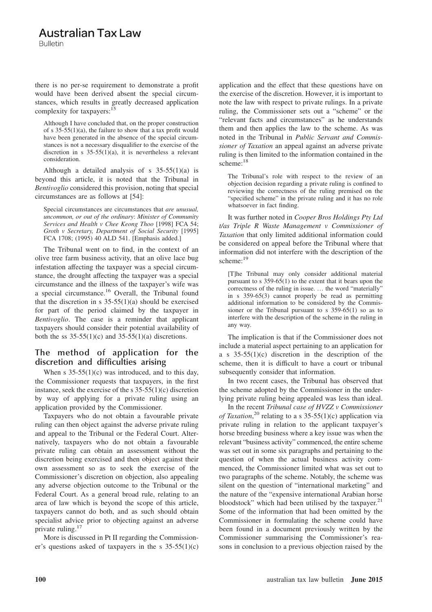### **Australian Tax Law**

**Bulletin** 

there is no per-se requirement to demonstrate a profit would have been derived absent the special circumstances, which results in greatly decreased application complexity for taxpayers:<sup>15</sup>

Although I have concluded that, on the proper construction of s  $35-55(1)(a)$ , the failure to show that a tax profit would have been generated in the absence of the special circumstances is not a necessary disqualifier to the exercise of the discretion in s  $35-55(1)(a)$ , it is nevertheless a relevant consideration.

Although a detailed analysis of s  $35-55(1)(a)$  is beyond this article, it is noted that the Tribunal in *Bentivoglio* considered this provision, noting that special circumstances are as follows at [54]:

Special circumstances are circumstances that *are unusual, uncommon, or out of the ordinary*: *Minister of Community Services and Health v Chee Keong Thoo* [1998] FCA 54; *Groth v Secretary, Department of Social Security* [1995] FCA 1708; (1995) 40 ALD 541. [Emphasis added.]

The Tribunal went on to find, in the context of an olive tree farm business activity, that an olive lace bug infestation affecting the taxpayer was a special circumstance, the drought affecting the taxpayer was a special circumstance and the illness of the taxpayer's wife was a special circumstance.<sup>16</sup> Overall, the Tribunal found that the discretion in s  $35-55(1)(a)$  should be exercised for part of the period claimed by the taxpayer in *Bentivoglio*. The case is a reminder that applicant taxpayers should consider their potential availability of both the ss  $35-55(1)(c)$  and  $35-55(1)(a)$  discretions.

### **The method of application for the discretion and difficulties arising**

When s  $35-55(1)(c)$  was introduced, and to this day, the Commissioner requests that taxpayers, in the first instance, seek the exercise of the s  $35-55(1)(c)$  discretion by way of applying for a private ruling using an application provided by the Commissioner.

Taxpayers who do not obtain a favourable private ruling can then object against the adverse private ruling and appeal to the Tribunal or the Federal Court. Alternatively, taxpayers who do not obtain a favourable private ruling can obtain an assessment without the discretion being exercised and then object against their own assessment so as to seek the exercise of the Commissioner's discretion on objection, also appealing any adverse objection outcome to the Tribunal or the Federal Court. As a general broad rule, relating to an area of law which is beyond the scope of this article, taxpayers cannot do both, and as such should obtain specialist advice prior to objecting against an adverse private ruling.<sup>17</sup>

More is discussed in Pt II regarding the Commissioner's questions asked of taxpayers in the s  $35-55(1)(c)$  application and the effect that these questions have on the exercise of the discretion. However, it is important to note the law with respect to private rulings. In a private ruling, the Commissioner sets out a "scheme" or the "relevant facts and circumstances" as he understands them and then applies the law to the scheme. As was noted in the Tribunal in *Public Servant and Commissioner of Taxation* an appeal against an adverse private ruling is then limited to the information contained in the scheme:<sup>18</sup>

The Tribunal's role with respect to the review of an objection decision regarding a private ruling is confined to reviewing the correctness of the ruling premised on the "specified scheme" in the private ruling and it has no role whatsoever in fact finding.

It was further noted in *Cooper Bros Holdings Pty Ltd t/as Triple R Waste Management v Commissioner of Taxation* that only limited additional information could be considered on appeal before the Tribunal where that information did not interfere with the description of the scheme:<sup>19</sup>

[T]he Tribunal may only consider additional material pursuant to s 359-65(1) to the extent that it bears upon the correctness of the ruling in issue. … the word "materially" in s 359-65(3) cannot properly be read as permitting additional information to be considered by the Commissioner or the Tribunal pursuant to s 359-65(1) so as to interfere with the description of the scheme in the ruling in any way.

The implication is that if the Commissioner does not include a material aspect pertaining to an application for a s  $35-55(1)(c)$  discretion in the description of the scheme, then it is difficult to have a court or tribunal subsequently consider that information.

In two recent cases, the Tribunal has observed that the scheme adopted by the Commissioner in the underlying private ruling being appealed was less than ideal.

In the recent *Tribunal case of HVZZ v Commissioner of Taxation*, <sup>20</sup> relating to a s 35-55(1)(c) application via private ruling in relation to the applicant taxpayer's horse breeding business where a key issue was when the relevant "business activity" commenced, the entire scheme was set out in some six paragraphs and pertaining to the question of when the actual business activity commenced, the Commissioner limited what was set out to two paragraphs of the scheme. Notably, the scheme was silent on the question of "international marketing" and the nature of the "expensive international Arabian horse bloodstock" which had been utilised by the taxpayer. $21$ Some of the information that had been omitted by the Commissioner in formulating the scheme could have been found in a document previously written by the Commissioner summarising the Commissioner's reasons in conclusion to a previous objection raised by the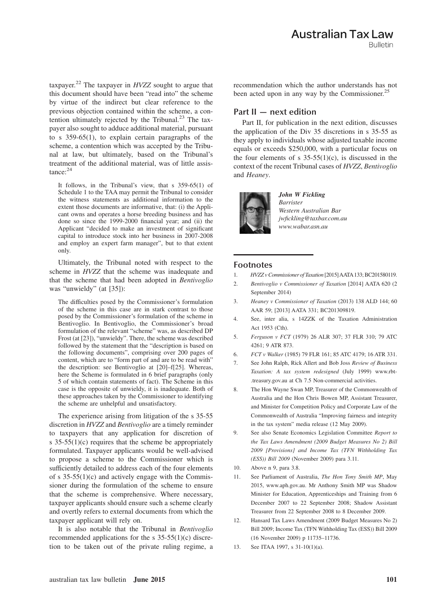taxpayer.<sup>22</sup> The taxpayer in *HVZZ* sought to argue that this document should have been "read into" the scheme by virtue of the indirect but clear reference to the previous objection contained within the scheme, a contention ultimately rejected by the Tribunal. $^{23}$  The taxpayer also sought to adduce additional material, pursuant to s 359-65(1), to explain certain paragraphs of the scheme, a contention which was accepted by the Tribunal at law, but ultimately, based on the Tribunal's treatment of the additional material, was of little assistance:<sup>24</sup>

It follows, in the Tribunal's view, that s 359-65(1) of Schedule 1 to the TAA may permit the Tribunal to consider the witness statements as additional information to the extent those documents are informative, that: (i) the Applicant owns and operates a horse breeding business and has done so since the 1999-2000 financial year; and (ii) the Applicant "decided to make an investment of significant capital to introduce stock into her business in 2007-2008 and employ an expert farm manager", but to that extent only.

Ultimately, the Tribunal noted with respect to the scheme in *HVZZ* that the scheme was inadequate and that the scheme that had been adopted in *Bentivoglio* was "unwieldy" (at [35]):

The difficulties posed by the Commissioner's formulation of the scheme in this case are in stark contrast to those posed by the Commissioner's formulation of the scheme in Bentivoglio. In Bentivoglio, the Commissioner's broad formulation of the relevant "scheme" was, as described DP Frost (at [23]), "unwieldy". There, the scheme was described followed by the statement that the "description is based on the following documents", comprising over 200 pages of content, which are to "form part of and are to be read with" the description: see Bentivoglio at [20]–f[25]. Whereas, here the Scheme is formulated in 6 brief paragraphs (only 5 of which contain statements of fact). The Scheme in this case is the opposite of unwieldy, it is inadequate. Both of these approaches taken by the Commissioner to identifying the scheme are unhelpful and unsatisfactory.

The experience arising from litigation of the s 35-55 discretion in *HVZZ* and *Bentivoglio* are a timely reminder to taxpayers that any application for discretion of s  $35-55(1)(c)$  requires that the scheme be appropriately formulated. Taxpayer applicants would be well-advised to propose a scheme to the Commissioner which is sufficiently detailed to address each of the four elements of s  $35-55(1)(c)$  and actively engage with the Commissioner during the formulation of the scheme to ensure that the scheme is comprehensive. Where necessary, taxpayer applicants should ensure such a scheme clearly and overtly refers to external documents from which the taxpayer applicant will rely on.

It is also notable that the Tribunal in *Bentivoglio* recommended applications for the s 35-55(1)(c) discretion to be taken out of the private ruling regime, a recommendation which the author understands has not been acted upon in any way by the Commissioner.<sup>25</sup>

#### **Part II — next edition**

Part II, for publication in the next edition, discusses the application of the Div 35 discretions in s 35-55 as they apply to individuals whose adjusted taxable income equals or exceeds \$250,000, with a particular focus on the four elements of s  $35-55(1)(c)$ , is discussed in the context of the recent Tribunal cases of *HVZZ*, *Bentivoglio* and *Heaney*.



*John W Fickling Barrister Western Australian Bar jwfickling@taxbar.com.au www.wabar.asn.au*

### **Footnotes**

- 1. *HVZZ v Commissioner of Taxation* [2015]AATA133; BC201580119.
- 2. *Bentivoglio v Commissioner of Taxation* [2014] AATA 620 (2 September 2014)
- 3. *Heaney v Commissioner of Taxation* (2013) 138 ALD 144; 60 AAR 59; [2013] AATA 331; BC201309819.
- 4. See, inter alia, s 14ZZK of the Taxation Administration Act 1953 (Cth).
- 5. *Ferguson v FCT* (1979) 26 ALR 307; 37 FLR 310; 79 ATC 4261; 9 ATR 873.
- 6. *FCT v Walker* (1985) 79 FLR 161; 85 ATC 4179; 16 ATR 331.
- 7. See John Ralph, Rick Allert and Bob Joss *Review of Business Taxation: A tax system redesigned* (July 1999) www.rbt- .treasury.gov.au at Ch 7.5 Non-commercial activities.
- 8. The Hon Wayne Swan MP, Treasurer of the Commonwealth of Australia and the Hon Chris Bowen MP, Assistant Treasurer, and Minister for Competition Policy and Corporate Law of the Commonwealth of Australia "Improving fairness and integrity in the tax system" media release (12 May 2009).
- 9. See also Senate Economics Legislation Committee *Report to the Tax Laws Amendment (2009 Budget Measures No 2) Bill 2009 [Provisions] and Income Tax (TFN Withholding Tax (ESS)) Bill 2009* (November 2009) para 3.11.
- 10. Above n 9, para 3.8.
- 11. See Parliament of Australia, *The Hon Tony Smith MP*, May 2015, www.aph.gov.au. Mr Anthony Smith MP was Shadow Minister for Education, Apprenticeships and Training from 6 December 2007 to 22 September 2008; Shadow Assistant Treasurer from 22 September 2008 to 8 December 2009.
- 12. Hansard Tax Laws Amendment (2009 Budget Measures No 2) Bill 2009; Income Tax (TFN Withholding Tax (ESS)) Bill 2009 (16 November 2009) p 11735–11736.
- 13. See ITAA 1997, s 31-10(1)(a).